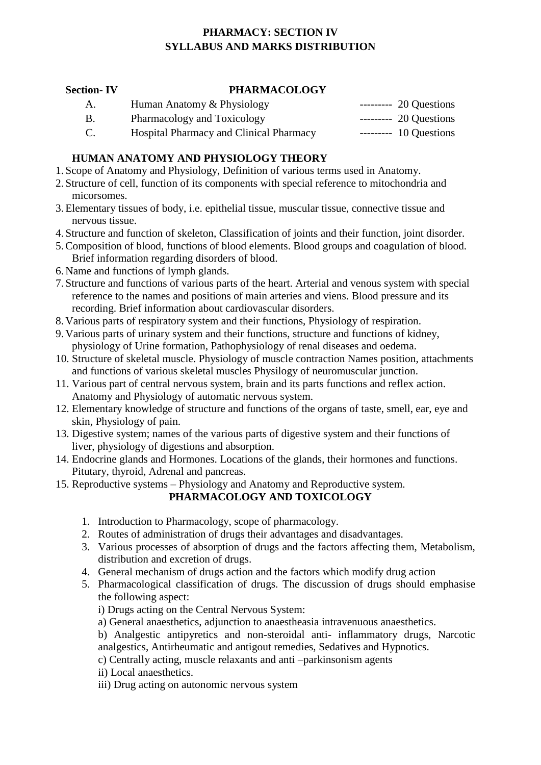# **PHARMACY: SECTION IV SYLLABUS AND MARKS DISTRIBUTION**

### **Section- IV PHARMACOLOGY**

- A. Human Anatomy & Physiology --------- 20 Questions
- B. Pharmacology and Toxicology --------- 20 Questions
- C. Hospital Pharmacy and Clinical Pharmacy --------- 10 Questions

## **HUMAN ANATOMY AND PHYSIOLOGY THEORY**

- 1. Scope of Anatomy and Physiology, Definition of various terms used in Anatomy.
- 2. Structure of cell, function of its components with special reference to mitochondria and micorsomes.
- 3.Elementary tissues of body, i.e. epithelial tissue, muscular tissue, connective tissue and nervous tissue.
- 4. Structure and function of skeleton, Classification of joints and their function, joint disorder.
- 5.Composition of blood, functions of blood elements. Blood groups and coagulation of blood. Brief information regarding disorders of blood.
- 6. Name and functions of lymph glands.
- 7. Structure and functions of various parts of the heart. Arterial and venous system with special reference to the names and positions of main arteries and viens. Blood pressure and its recording. Brief information about cardiovascular disorders.
- 8. Various parts of respiratory system and their functions, Physiology of respiration.
- 9. Various parts of urinary system and their functions, structure and functions of kidney, physiology of Urine formation, Pathophysiology of renal diseases and oedema.
- 10. Structure of skeletal muscle. Physiology of muscle contraction Names position, attachments and functions of various skeletal muscles Physilogy of neuromuscular junction.
- 11. Various part of central nervous system, brain and its parts functions and reflex action. Anatomy and Physiology of automatic nervous system.
- 12. Elementary knowledge of structure and functions of the organs of taste, smell, ear, eye and skin, Physiology of pain.
- 13. Digestive system; names of the various parts of digestive system and their functions of liver, physiology of digestions and absorption.
- 14. Endocrine glands and Hormones. Locations of the glands, their hormones and functions. Pitutary, thyroid, Adrenal and pancreas.
- 15. Reproductive systems Physiology and Anatomy and Reproductive system.

### **PHARMACOLOGY AND TOXICOLOGY**

- 1. Introduction to Pharmacology, scope of pharmacology.
- 2. Routes of administration of drugs their advantages and disadvantages.
- 3. Various processes of absorption of drugs and the factors affecting them, Metabolism, distribution and excretion of drugs.
- 4. General mechanism of drugs action and the factors which modify drug action
- 5. Pharmacological classification of drugs. The discussion of drugs should emphasise the following aspect:
	- i) Drugs acting on the Central Nervous System:
	- a) General anaesthetics, adjunction to anaestheasia intravenuous anaesthetics.
	- b) Analgestic antipyretics and non-steroidal anti- inflammatory drugs, Narcotic analgestics, Antirheumatic and antigout remedies, Sedatives and Hypnotics.
	- c) Centrally acting, muscle relaxants and anti –parkinsonism agents
	- ii) Local anaesthetics.
	- iii) Drug acting on autonomic nervous system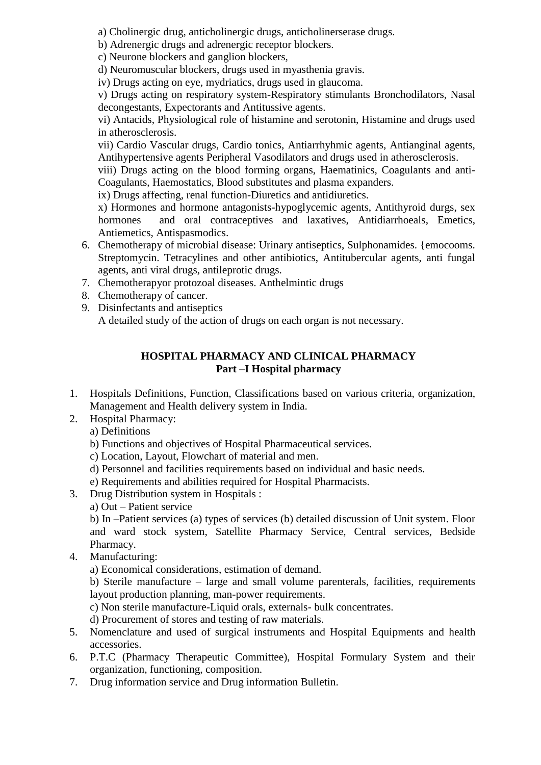a) Cholinergic drug, anticholinergic drugs, anticholinerserase drugs.

b) Adrenergic drugs and adrenergic receptor blockers.

c) Neurone blockers and ganglion blockers,

d) Neuromuscular blockers, drugs used in myasthenia gravis.

iv) Drugs acting on eye, mydriatics, drugs used in glaucoma.

v) Drugs acting on respiratory system-Respiratory stimulants Bronchodilators, Nasal decongestants, Expectorants and Antitussive agents.

vi) Antacids, Physiological role of histamine and serotonin, Histamine and drugs used in atherosclerosis.

vii) Cardio Vascular drugs, Cardio tonics, Antiarrhyhmic agents, Antianginal agents, Antihypertensive agents Peripheral Vasodilators and drugs used in atherosclerosis.

viii) Drugs acting on the blood forming organs, Haematinics, Coagulants and anti-Coagulants, Haemostatics, Blood substitutes and plasma expanders.

ix) Drugs affecting, renal function-Diuretics and antidiuretics.

x) Hormones and hormone antagonists-hypoglycemic agents, Antithyroid durgs, sex hormones and oral contraceptives and laxatives, Antidiarrhoeals, Emetics, Antiemetics, Antispasmodics.

- 6. Chemotherapy of microbial disease: Urinary antiseptics, Sulphonamides. {emocooms. Streptomycin. Tetracylines and other antibiotics, Antitubercular agents, anti fungal agents, anti viral drugs, antileprotic drugs.
- 7. Chemotherapyor protozoal diseases. Anthelmintic drugs
- 8. Chemotherapy of cancer.
- 9. Disinfectants and antiseptics A detailed study of the action of drugs on each organ is not necessary.

## **HOSPITAL PHARMACY AND CLINICAL PHARMACY Part –I Hospital pharmacy**

- 1. Hospitals Definitions, Function, Classifications based on various criteria, organization, Management and Health delivery system in India.
- 2. Hospital Pharmacy:
	- a) Definitions
	- b) Functions and objectives of Hospital Pharmaceutical services.
	- c) Location, Layout, Flowchart of material and men.
	- d) Personnel and facilities requirements based on individual and basic needs.
	- e) Requirements and abilities required for Hospital Pharmacists.
- 3. Drug Distribution system in Hospitals :
	- a) Out Patient service

b) In –Patient services (a) types of services (b) detailed discussion of Unit system. Floor and ward stock system, Satellite Pharmacy Service, Central services, Bedside Pharmacy.

4. Manufacturing:

a) Economical considerations, estimation of demand.

b) Sterile manufacture – large and small volume parenterals, facilities, requirements layout production planning, man-power requirements.

c) Non sterile manufacture-Liquid orals, externals- bulk concentrates.

d) Procurement of stores and testing of raw materials.

- 5. Nomenclature and used of surgical instruments and Hospital Equipments and health accessories.
- 6. P.T.C (Pharmacy Therapeutic Committee), Hospital Formulary System and their organization, functioning, composition.
- 7. Drug information service and Drug information Bulletin.